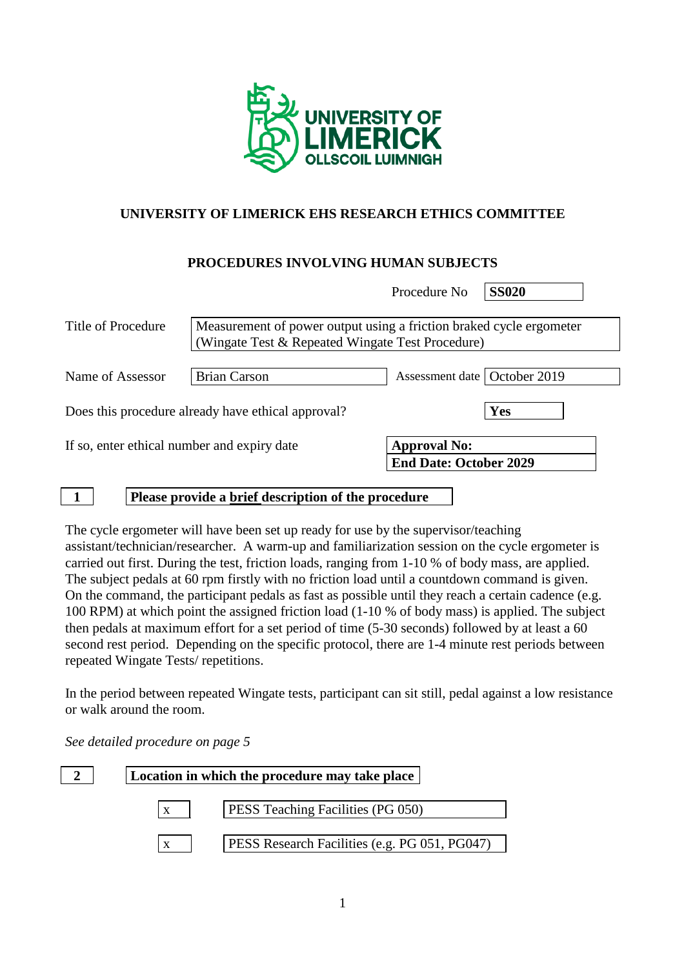

# **UNIVERSITY OF LIMERICK EHS RESEARCH ETHICS COMMITTEE**

# **PROCEDURES INVOLVING HUMAN SUBJECTS**

|                                                    |                                                                                                                         | Procedure No                   | <b>SS020</b> |
|----------------------------------------------------|-------------------------------------------------------------------------------------------------------------------------|--------------------------------|--------------|
| Title of Procedure                                 | Measurement of power output using a friction braked cycle ergometer<br>(Wingate Test & Repeated Wingate Test Procedure) |                                |              |
| Name of Assessor                                   | <b>Brian Carson</b>                                                                                                     | Assessment date   October 2019 |              |
| Does this procedure already have ethical approval? |                                                                                                                         |                                | Yes          |
| If so, enter ethical number and expiry date        |                                                                                                                         | <b>Approval No:</b>            |              |
|                                                    |                                                                                                                         | <b>End Date: October 2029</b>  |              |

# **1 Please provide a brief description of the procedure**

The cycle ergometer will have been set up ready for use by the supervisor/teaching assistant/technician/researcher. A warm-up and familiarization session on the cycle ergometer is carried out first. During the test, friction loads, ranging from 1-10 % of body mass, are applied. The subject pedals at 60 rpm firstly with no friction load until a countdown command is given. On the command, the participant pedals as fast as possible until they reach a certain cadence (e.g. 100 RPM) at which point the assigned friction load (1-10 % of body mass) is applied. The subject then pedals at maximum effort for a set period of time (5-30 seconds) followed by at least a 60 second rest period. Depending on the specific protocol, there are 1-4 minute rest periods between repeated Wingate Tests/ repetitions.

In the period between repeated Wingate tests, participant can sit still, pedal against a low resistance or walk around the room.

*See detailed procedure on page 5*

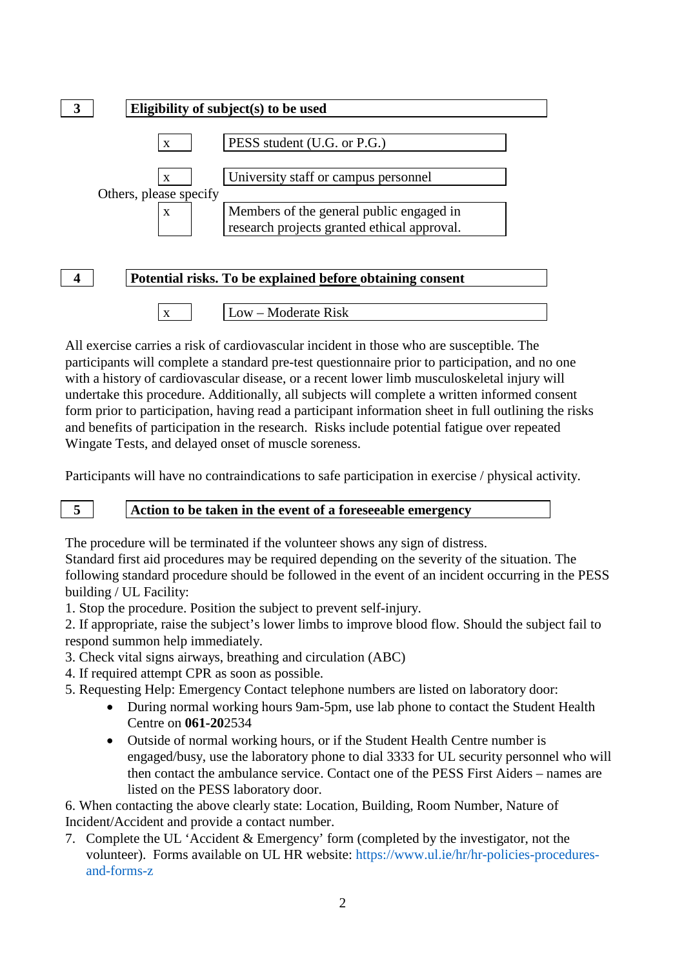

All exercise carries a risk of cardiovascular incident in those who are susceptible. The participants will complete a standard pre-test questionnaire prior to participation, and no one with a history of cardiovascular disease, or a recent lower limb musculoskeletal injury will undertake this procedure. Additionally, all subjects will complete a written informed consent form prior to participation, having read a participant information sheet in full outlining the risks and benefits of participation in the research. Risks include potential fatigue over repeated Wingate Tests, and delayed onset of muscle soreness.

Participants will have no contraindications to safe participation in exercise / physical activity.

# **5 Action to be taken in the event of a foreseeable emergency**

The procedure will be terminated if the volunteer shows any sign of distress.

Standard first aid procedures may be required depending on the severity of the situation. The following standard procedure should be followed in the event of an incident occurring in the PESS building / UL Facility:

1. Stop the procedure. Position the subject to prevent self-injury.

 $x \mid Low - Moderate Risk$ 

2. If appropriate, raise the subject's lower limbs to improve blood flow. Should the subject fail to respond summon help immediately.

- 3. Check vital signs airways, breathing and circulation (ABC)
- 4. If required attempt CPR as soon as possible.
- 5. Requesting Help: Emergency Contact telephone numbers are listed on laboratory door:
	- During normal working hours 9am-5pm, use lab phone to contact the Student Health Centre on **061-20**2534
	- Outside of normal working hours, or if the Student Health Centre number is engaged/busy, use the laboratory phone to dial 3333 for UL security personnel who will then contact the ambulance service. Contact one of the PESS First Aiders – names are listed on the PESS laboratory door.

6. When contacting the above clearly state: Location, Building, Room Number, Nature of Incident/Accident and provide a contact number.

7. Complete the UL 'Accident & Emergency' form (completed by the investigator, not the volunteer). Forms available on UL HR website: https://www.ul.ie/hr/hr-policies-proceduresand-forms-z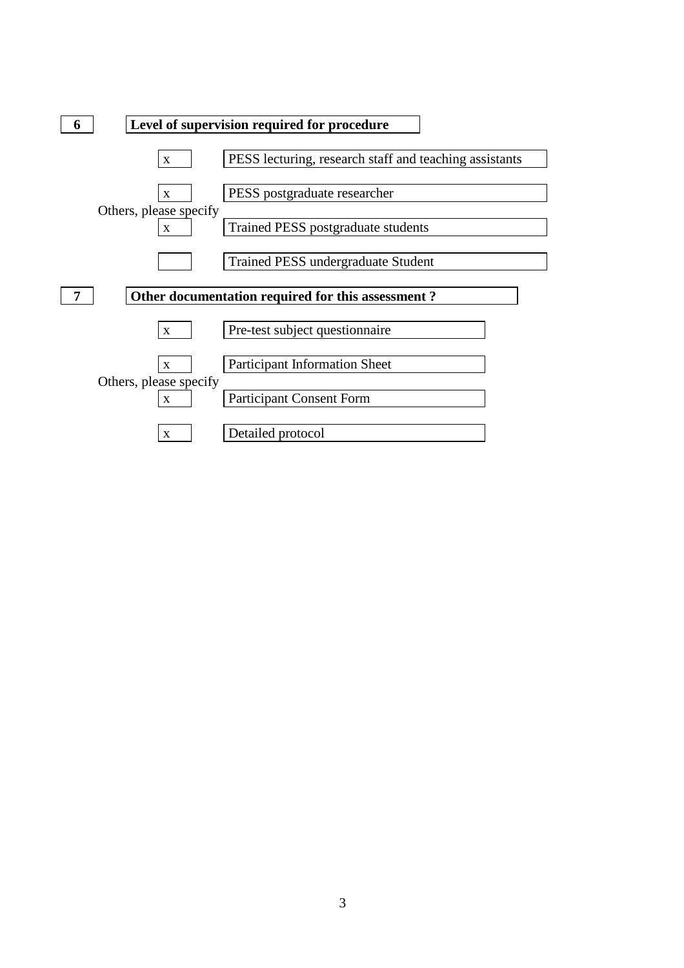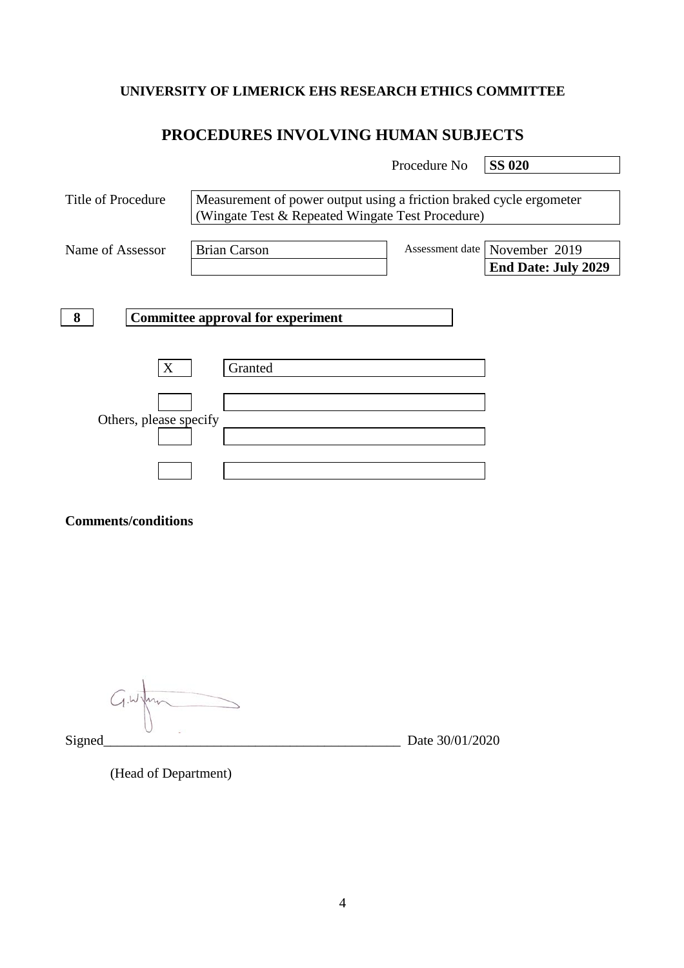# **UNIVERSITY OF LIMERICK EHS RESEARCH ETHICS COMMITTEE**

# **PROCEDURES INVOLVING HUMAN SUBJECTS**

ř.

|         |                                                                 | November 2019<br><b>End Date: July 2029</b>                                                                                                |
|---------|-----------------------------------------------------------------|--------------------------------------------------------------------------------------------------------------------------------------------|
| Granted |                                                                 |                                                                                                                                            |
|         | <b>Brian Carson</b><br><b>Committee approval for experiment</b> | Measurement of power output using a friction braked cycle ergometer<br>(Wingate Test & Repeated Wingate Test Procedure)<br>Assessment date |

**Comments/conditions**

Signed\_\_\_\_\_\_\_\_\_\_\_\_\_\_\_\_\_\_\_\_\_\_\_\_\_\_\_\_\_\_\_\_\_\_\_\_\_\_\_\_\_\_\_ Date 30/01/2020

(Head of Department)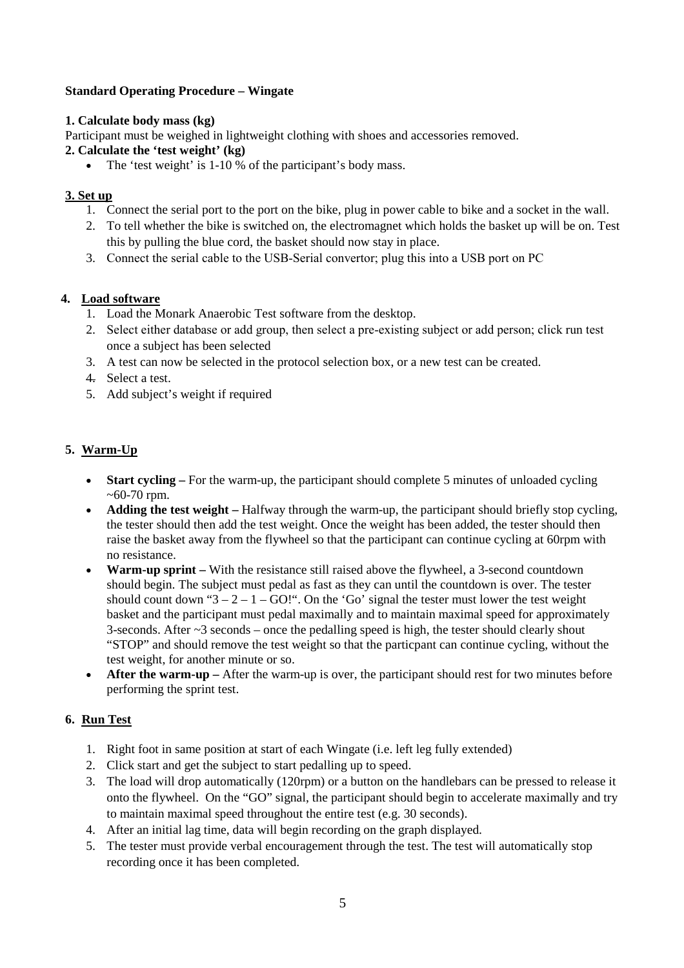#### **Standard Operating Procedure – Wingate**

#### **1. Calculate body mass (kg)**

Participant must be weighed in lightweight clothing with shoes and accessories removed.

- **2. Calculate the 'test weight' (kg)**
	- The 'test weight' is 1-10 % of the participant's body mass.

### **3. Set up**

- 1. Connect the serial port to the port on the bike, plug in power cable to bike and a socket in the wall.
- 2. To tell whether the bike is switched on, the electromagnet which holds the basket up will be on. Test this by pulling the blue cord, the basket should now stay in place.
- 3. Connect the serial cable to the USB‐Serial convertor; plug this into a USB port on PC

### **4. Load software**

- 1. Load the Monark Anaerobic Test software from the desktop.
- 2. Select either database or add group, then select a pre‐existing subject or add person; click run test once a subject has been selected
- 3. A test can now be selected in the protocol selection box, or a new test can be created.
- 4. Select a test.
- 5. Add subject's weight if required

# **5. Warm-Up**

- **Start cycling** For the warm-up, the participant should complete 5 minutes of unloaded cycling  $~10$ -70 rpm.
- **Adding the test weight** Halfway through the warm-up, the participant should briefly stop cycling, the tester should then add the test weight. Once the weight has been added, the tester should then raise the basket away from the flywheel so that the participant can continue cycling at 60rpm with no resistance.
- **Warm-up sprint** With the resistance still raised above the flywheel, a 3-second countdown should begin. The subject must pedal as fast as they can until the countdown is over. The tester should count down " $3 - 2 - 1 - GO!$ ". On the 'Go' signal the tester must lower the test weight basket and the participant must pedal maximally and to maintain maximal speed for approximately 3-seconds. After  $\sim$  3 seconds – once the pedalling speed is high, the tester should clearly shout "STOP" and should remove the test weight so that the particpant can continue cycling, without the test weight, for another minute or so.
- **After the warm-up** After the warm-up is over, the participant should rest for two minutes before performing the sprint test.

# **6. Run Test**

- 1. Right foot in same position at start of each Wingate (i.e. left leg fully extended)
- 2. Click start and get the subject to start pedalling up to speed.
- 3. The load will drop automatically (120rpm) or a button on the handlebars can be pressed to release it onto the flywheel. On the "GO" signal, the participant should begin to accelerate maximally and try to maintain maximal speed throughout the entire test (e.g. 30 seconds).
- 4. After an initial lag time, data will begin recording on the graph displayed.
- 5. The tester must provide verbal encouragement through the test. The test will automatically stop recording once it has been completed.